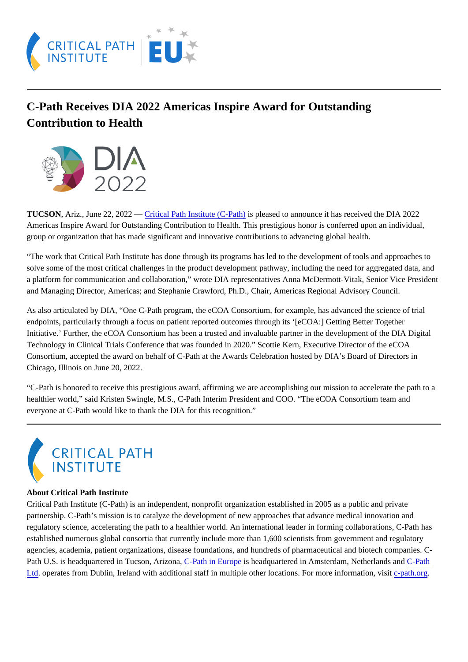## C-Path Receives DIA 2022 Americas Inspire Award for Outstanding Contribution to Health

TUCSON,Ariz., June 22, 2022 – Gritical Path Institute (C-Pathis pleased to announce it has received the DIA 2022 Americas Inspire Award for Outstanding Contribution to Health. This prestigious honor is conferred upon an individual, group or organization that has made significant and innovative contributions to advancing global health.

"The work that Critical Path Institute has done through its programs has led to the development of tools and approaches t solve some of the most critical challenges in the product development pathway, including the need for aggregated data, and a platform for communication and collaboration," wrote DIA representatives Anna McDermott-Vitak, Senior Vice Presiden and Managing Director, Americas; and Stephanie Crawford, Ph.D., Chair, Americas Regional Advisory Council.

As also articulated by DIA, "One C-Path program, the eCOA Consortium, for example, has advanced the science of trial endpoints, particularly through a focus on patient reported outcomes through its '[eCOA:] Getting Better Together Initiative.' Further, the eCOA Consortium has been a trusted and invaluable partner in the development of the DIA Digital Technology in Clinical Trials Conference that was founded in 2020." Scottie Kern, Executive Director of the eCOA Consortium, accepted the award on behalf of C-Path at the Awards Celebration hosted by DIA's Board of Directors in Chicago, Illinois on June 20, 2022.

"C-Path is honored to receive this prestigious award, affirming we are accomplishing our mission to accelerate the path to a healthier world," said Kristen Swingle, M.S., C-Path Interim President and COO. "The eCOA Consortium team and everyone at C-Path would like to thank the DIA for this recognition."

## About Critical Path Institute

Critical Path Institute (C-Path) is an independent, nonprofit organization established in 2005 as a public and private partnership. C-Path's mission is to catalyze the development of new approaches that advance medical innovation and regulatory science, accelerating the path to a healthier world. An international leader in forming collaborations, C-Path ha established numerous global consortia that currently include more than 1,600 scientists from government and regulatory agencies, academia, patient organizations, disease foundations, and hundreds of pharmaceutical and biotech companies Path U.S. is headquartered in Tucson, Arizona, ath in Europis headquartered in Amsterdam, Netherlands Candath [Ltd.](https://c-path.eu/) operates from Dublin, Ireland with additional staff in multiple other locations. For more information-pastiong